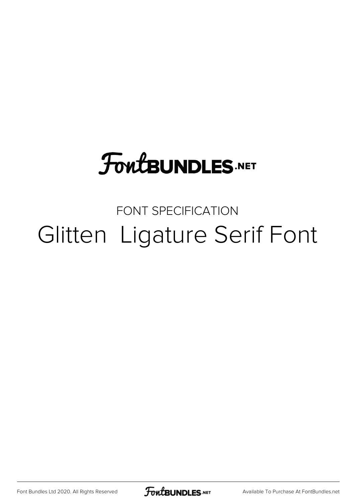### **FoutBUNDLES.NET**

#### FONT SPECIFICATION Glitten Ligature Serif Font

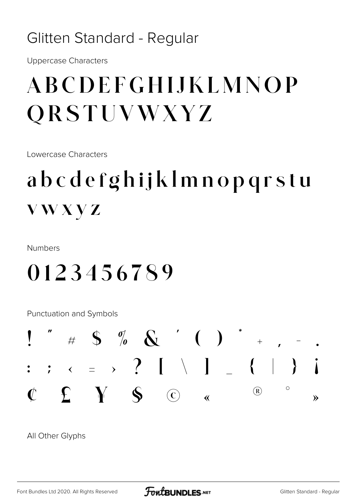#### Glitten Standard - Regular

**Uppercase Characters** 

### ABCDEFGHIJKLMNOP **QRSTUVWXYZ**

Lowercase Characters

### abcdefghijklmnopqrstu **VWXYZ**

**Numbers** 

#### 0123456789

Punctuation and Symbols



All Other Glyphs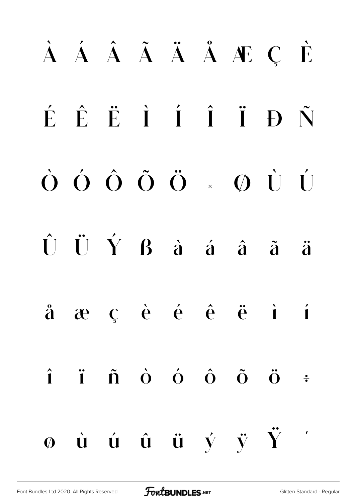# À Á Â Ã Ä Å Æ Ç È É Ê Ë Ì Í Î Ï Ð Ñ Ò Ó Ô Õ Ö × Ø Ù Ú  $\hat{U}$   $\hat{U}$   $\hat{Y}$   $\hat{B}$   $\hat{a}$   $\hat{a}$   $\hat{a}$   $\hat{a}$   $\hat{a}$   $\hat{a}$ å æ ç è é ê ë ì í  $\hat{\mathbf{i}}$   $\hat{\mathbf{i}}$   $\hat{\mathbf{n}}$   $\hat{\mathbf{o}}$   $\hat{\mathbf{o}}$   $\hat{\mathbf{o}}$   $\hat{\mathbf{o}}$   $\hat{\mathbf{o}}$   $\vdots$  $\phi$  ù ú û ü ý ÿ  $\ddot{Y}$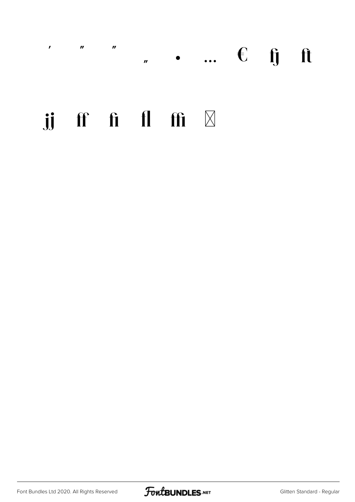#### $\mathbf{r}$   $\mathbf{r}$   $\mathbf{r}$   $\mathbf{r}$  $\mathbf{r}$  ...  $\epsilon$  ij it

#### jj ff fi fl ffi  $\boxtimes$

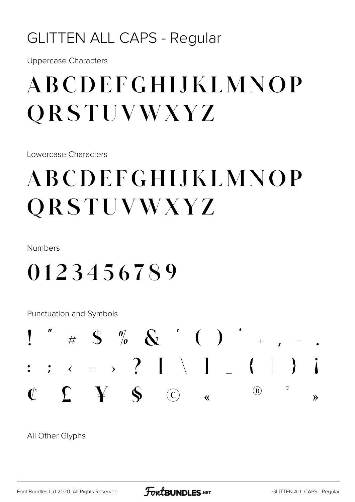#### **GLITTEN ALL CAPS - Regular**

**Uppercase Characters** 

### ABCDEFGHLIKLMNOP ORSTUVWXYZ

Lowercase Characters

### ABCDEFGHIJKLMNOP QRSTUVWXYZ

Numbers

#### 0123456789

Punctuation and Symbols



All Other Glyphs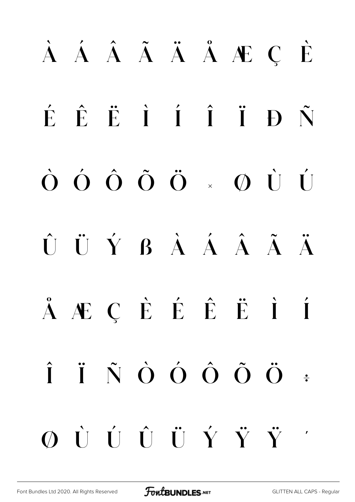# À Á Â Ã Ä Å Æ Ç È É Ê Ë Ì Í Î Ï Ð Ñ Ò Ó Ô Õ Ö × Ø Ù Ú Û Ü Ý ß à á â ã ä å æ ç è é ê ë ì í  $\hat{I}$   $\hat{I}$   $\hat{N}$   $\hat{O}$   $\hat{O}$   $\hat{O}$   $\hat{O}$   $\hat{O}$   $\vdots$ ø ù ú û ü ý ÿ Ÿ '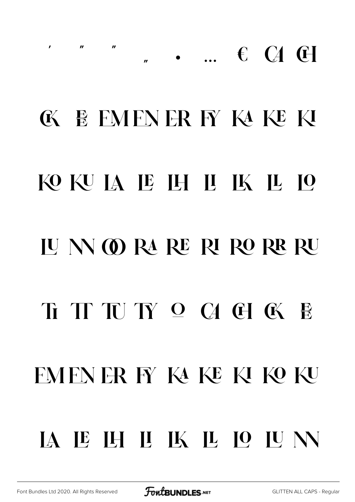## **KE MENER F KAKE KI** KOKUJA JE JH JI JK JL JO **IU N @ RA RE RI RO RR RU** FMFNER FY KA KE KI KO KU IA IE IH II IK IL IO IU N

 $\mathbf{u}$ 

 $\mathbf{u}$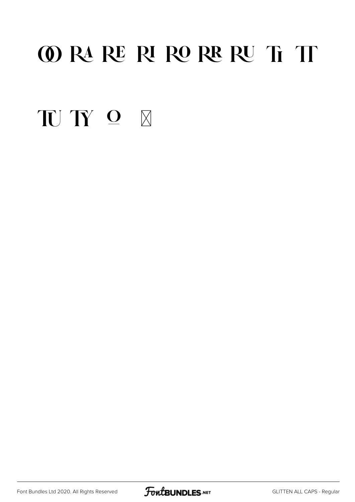#### **OO RA RE RI RO RE RU Ti TT**

TUTY O X

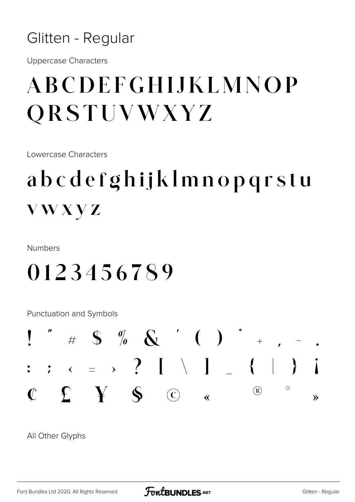#### Glitten - Regular

**Uppercase Characters** 

### ABCDEFGHIJKLMNOP **QRSTUVWXYZ**

Lowercase Characters

#### abcdefghijklmnopqrstu **VWXVZ**

Numbers

#### 0123456789

Punctuation and Symbols



All Other Glyphs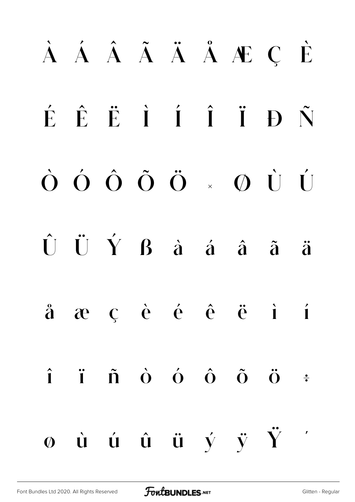# À Á Â Ã Ä Å Æ Ç È É Ê Ë Ì Í Î Ï Ð Ñ Ò Ó Ô Õ Ö × Ø Ù Ú  $\hat{U}$   $\hat{U}$   $\hat{Y}$   $\hat{B}$   $\hat{a}$   $\hat{a}$   $\hat{a}$   $\hat{a}$   $\hat{a}$   $\hat{a}$ å æ ç è é ê ë ì í  $\hat{\mathbf{i}}$   $\hat{\mathbf{i}}$   $\hat{\mathbf{n}}$   $\hat{\mathbf{o}}$   $\hat{\mathbf{o}}$   $\hat{\mathbf{o}}$   $\hat{\mathbf{o}}$   $\hat{\mathbf{o}}$   $\vdots$  $\phi$  ù ú û ü ý ÿ Ÿ '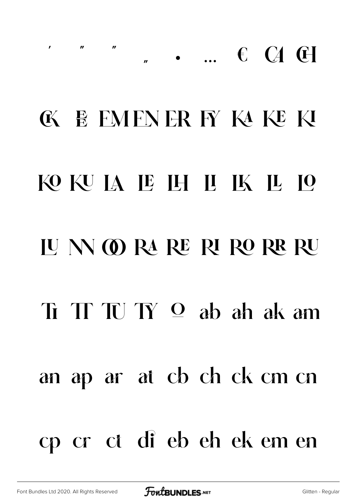## $\mathbf{r}$  ,  $\mathbf{r}$  ,  $\mathbf{r}$  ,  $\mathbf{r}$ " • ... € CA CH **K E FMFNER FY KAKE KI** KO KU JA JE JH JI JK JL JO JUNORA RERIRORR RU  $\pi$  T T  $\pi$   $\sigma$  ab ah ak am an ap ar at cb ch ck cm cn cp cr ct di eb eh ek em en